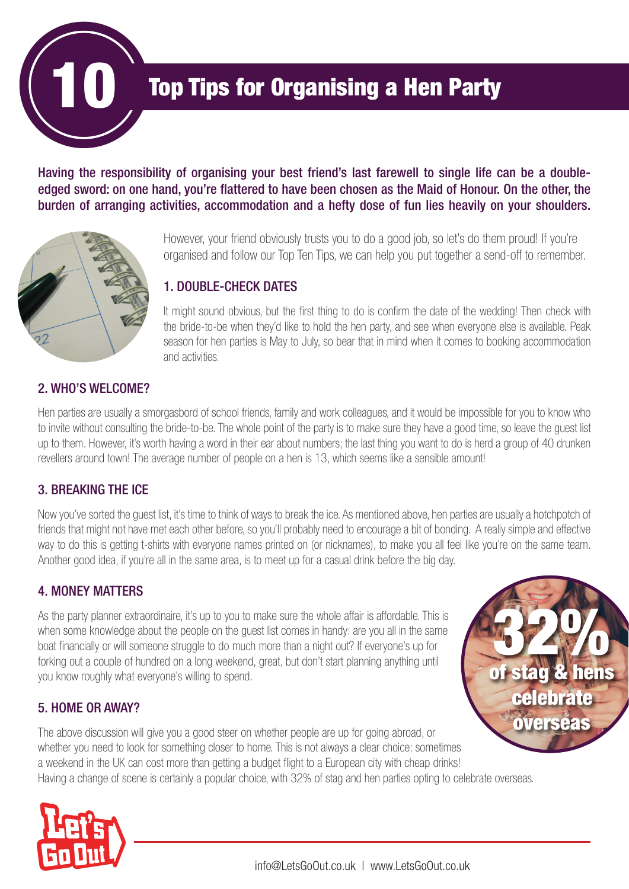

# **Top Tips for Organising a Hen Party**

Having the responsibility of organising your best friend's last farewell to single life can be a doubleedged sword: on one hand, you're flattered to have been chosen as the Maid of Honour. On the other, the burden of arranging activities, accommodation and a hefty dose of fun lies heavily on your shoulders.



However, your friend obviously trusts you to do a good job, so let's do them proud! If you're organised and follow our Top Ten Tips, we can help you put together a send-off to remember.

#### 1. DOUBLE-CHECK DATES

It might sound obvious, but the first thing to do is confirm the date of the wedding! Then check with the bride-to-be when they'd like to hold the hen party, and see when everyone else is available. Peak season for hen parties is May to July, so bear that in mind when it comes to booking accommodation and activities.

#### 2. WHO'S WELCOME?

Hen parties are usually a smorgasbord of school friends, family and work colleagues, and it would be impossible for you to know who to invite without consulting the bride-to-be. The whole point of the party is to make sure they have a good time, so leave the guest list up to them. However, it's worth having a word in their ear about numbers; the last thing you want to do is herd a group of 40 drunken revellers around town! The average number of people on a hen is 13, which seems like a sensible amount!

#### 3. BREAKING THE ICE

Now you've sorted the guest list, it's time to think of ways to break the ice. As mentioned above, hen parties are usually a hotchpotch of friends that might not have met each other before, so you'll probably need to encourage a bit of bonding. A really simple and effective way to do this is getting t-shirts with everyone names printed on (or nicknames), to make you all feel like you're on the same team. Another good idea, if you're all in the same area, is to meet up for a casual drink before the big day.

## 4. MONEY MATTERS

As the party planner extraordinaire, it's up to you to make sure the whole affair is affordable. This is when some knowledge about the people on the guest list comes in handy: are you all in the same boat financially or will someone struggle to do much more than a night out? If everyone's up for forking out a couple of hundred on a long weekend, great, but don't start planning anything until you know roughly what everyone's willing to spend.

## 5. HOME OR AWAY?

The above discussion will give you a good steer on whether people are up for going abroad, or whether you need to look for something closer to home. This is not always a clear choice: sometimes a weekend in the UK can cost more than getting a budget flight to a European city with cheap drinks! Having a change of scene is certainly a popular choice, with 32% of stag and hen parties opting to celebrate overseas. overseas



of stag & hens

celebrate

32%